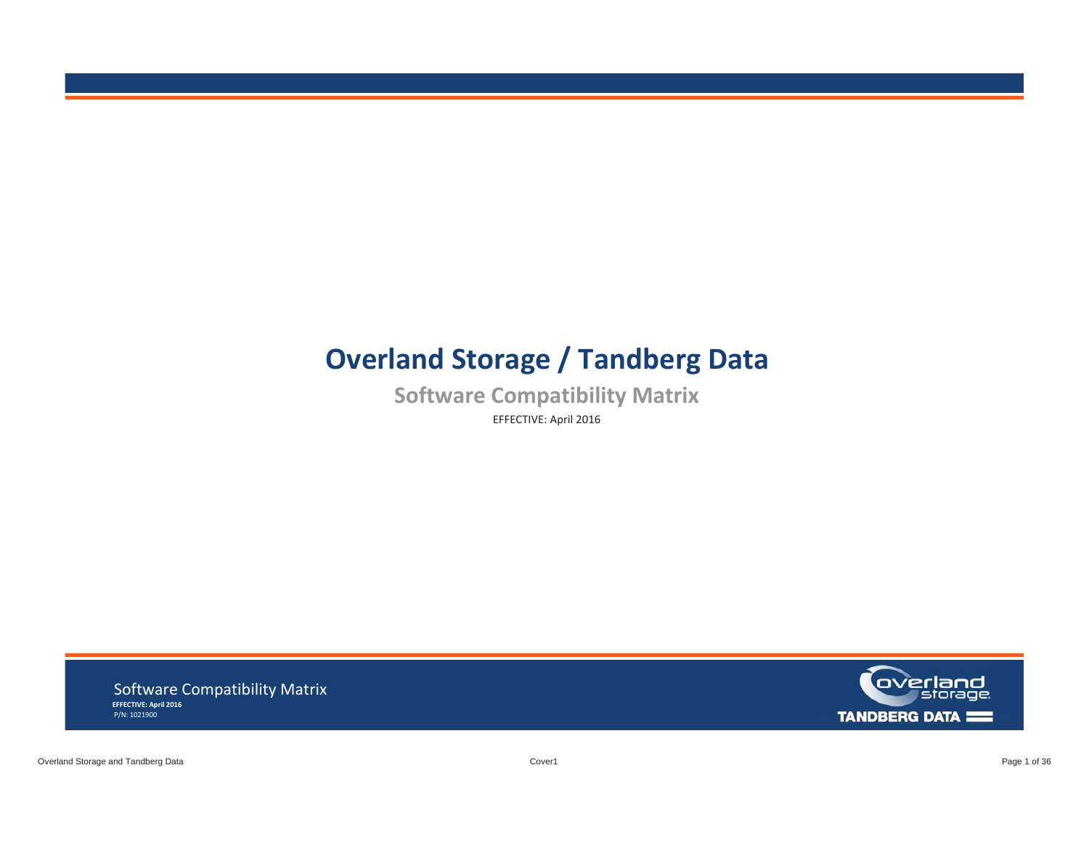# **Overland Storage / Tandberg Data**

 **Software Compatibility Matrix**  EFFECTIVE: April 2016

 **EFFECTIVE: April 2016**  Software Compatibility Matrix P/N: 1021900

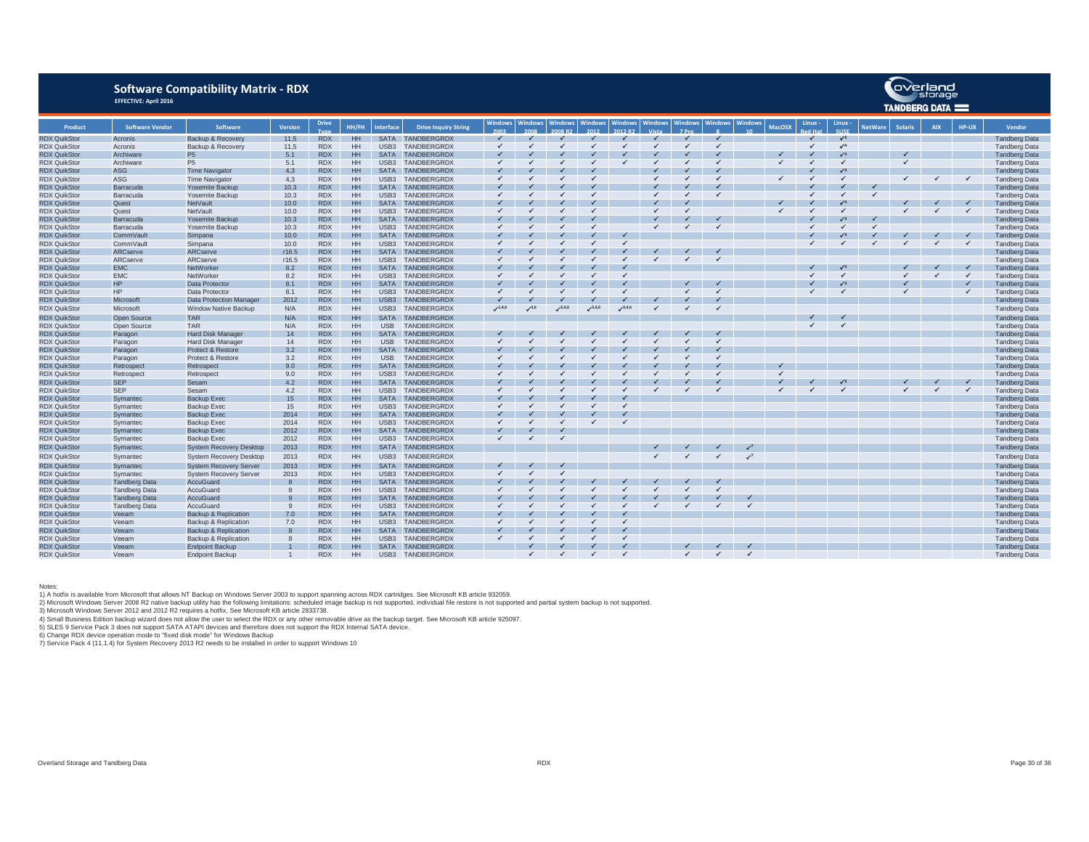### **Software Compatibility Matrix - RDX EFFECTIVE: April 2016**

|                     |                        |                                |                |              |           |                  |                             |              |              |                |                |                |                |                |                |                |               |              | IANVBEKG VAIA — |                |                |            |       |                      |
|---------------------|------------------------|--------------------------------|----------------|--------------|-----------|------------------|-----------------------------|--------------|--------------|----------------|----------------|----------------|----------------|----------------|----------------|----------------|---------------|--------------|-----------------|----------------|----------------|------------|-------|----------------------|
| Product             | <b>Software Vendor</b> | Software                       | <b>Version</b> | <b>Drive</b> | HH/FH     | <b>Interface</b> | <b>Drive Inquiry String</b> | Windows      | Windows      | <b>Windows</b> | <b>Windows</b> | <b>Windows</b> | <b>Windows</b> | <b>Windows</b> | <b>Windows</b> | <b>Windows</b> | <b>MacOSX</b> | Linux -      | Linux -         | <b>NetWare</b> | <b>Solaris</b> | <b>AIX</b> | HP-UX | <b>Vendor</b>        |
| <b>RDX QuikStor</b> | Acronis                | Backup & Recovery              | 11,5           | <b>RDX</b>   | HH        |                  | SATA TANDBERGRDX            |              |              |                |                |                |                |                |                |                |               |              | $\sqrt{3}$      |                |                |            |       | <b>Tandberg Data</b> |
| <b>RDX QuikStor</b> | Acronis                | Backup & Recovery              | 11,5           | <b>RDX</b>   | HH        | USB <sub>3</sub> | <b>TANDBERGRDX</b>          | $\checkmark$ |              |                |                |                |                |                | ✓              |                |               | $\checkmark$ | $\sqrt{4}$      |                |                |            |       | <b>Tandberg Data</b> |
| <b>RDX QuikStor</b> | Archiware              | <b>P5</b>                      | 5.1            | <b>RDX</b>   | HH        | <b>SATA</b>      | <b>TANDBERGRDX</b>          |              |              |                |                |                |                |                |                |                |               |              | $\sqrt{3}$      |                |                |            |       | <b>Tandberg Data</b> |
| <b>RDX QuikStor</b> | Archiware              | <b>P5</b>                      | 5.1            | <b>RDX</b>   | HH        | USB <sub>3</sub> | TANDBERGRDX                 |              |              |                |                |                |                |                |                |                |               |              |                 |                |                |            |       | <b>Tandberg Data</b> |
| <b>RDX QuikSto</b>  | <b>ASG</b>             | <b>Time Navigator</b>          | 4,3            | <b>RDX</b>   | HH        | <b>SATA</b>      | TANDBERGRDX                 |              |              |                |                |                |                |                |                |                |               |              |                 |                |                |            |       | <b>Tandberg Data</b> |
| <b>RDX QuikStor</b> | ASG                    | <b>Time Navigator</b>          | 4.3            | <b>RDX</b>   | HH        | USB <sub>3</sub> | <b>TANDBERGRDX</b>          |              |              |                |                |                |                |                |                |                |               |              |                 |                |                |            |       | <b>Tandberg Data</b> |
| <b>RDX QuikStor</b> | Barracuda              | Yosemite Backup                | 10.3           | <b>RDX</b>   | <b>HH</b> | <b>SATA</b>      | TANDBERGRDX                 |              |              |                |                |                |                |                |                |                |               |              |                 |                |                |            |       | <b>Tandberg Data</b> |
| <b>RDX QuikSto</b>  | Barracuda              | Yosemite Backup                | 10.3           | <b>RDX</b>   | HH        | USB <sub>3</sub> | TANDBERGRDX                 |              |              |                |                |                |                |                |                |                |               |              |                 |                |                |            |       | <b>Tandberg Data</b> |
| <b>RDX QuikSto</b>  | Quest                  | NetVault                       | 10.0           | <b>RDX</b>   | HH        | <b>SATA</b>      | <b>TANDBERGRDX</b>          |              |              |                |                |                |                |                |                |                |               |              |                 |                |                |            |       | <b>Tandberg Data</b> |
| <b>RDX QuikStor</b> | Quest                  | NetVault                       | 10.0           | <b>RDX</b>   | HH        | USB <sub>3</sub> | TANDBERGRDX                 |              |              |                |                |                |                |                |                |                |               |              |                 |                |                |            |       | <b>Tandberg Data</b> |
| <b>RDX QuikSto</b>  | Barracuda              | Yosemite Backup                | 10.3           | <b>RDX</b>   | HH        | <b>SATA</b>      | <b>TANDBERGRD&gt;</b>       |              |              |                |                |                |                |                |                |                |               |              |                 |                |                |            |       | <b>Tandberg Data</b> |
| <b>RDX QuikStor</b> | Barracuda              | Yosemite Backup                | 10.3           | <b>RDX</b>   | HH        | USB <sub>3</sub> | <b>TANDBERGRDX</b>          |              |              |                |                |                |                |                |                |                |               |              |                 |                |                |            |       | <b>Tandberg Data</b> |
| <b>RDX QuikStor</b> | <b>CommVault</b>       | Simpana                        | 10.0           | <b>RDX</b>   | HH.       | <b>SATA</b>      | TANDBERGRDX                 |              |              |                |                |                |                |                |                |                |               |              |                 |                |                |            |       | <b>Tandberg Data</b> |
| <b>RDX QuikSto</b>  | CommVault              | Simpana                        | 10.0           | <b>RDX</b>   | HH        | USB <sub>3</sub> | TANDBERGRDX                 |              |              |                |                |                |                |                |                |                |               |              |                 |                |                |            |       | <b>Tandberg Data</b> |
| <b>RDX QuikStor</b> | ARCserve               | ARCserve                       | r16.5          | <b>RDX</b>   | <b>HH</b> | <b>SATA</b>      | <b>TANDBERGRDX</b>          |              |              |                |                |                |                |                |                |                |               |              |                 |                |                |            |       | <b>Tandberg Data</b> |
| <b>RDX QuikStor</b> | ARCserve               | ARCserve                       | r16.5          | <b>RDX</b>   | HH        | USB <sub>3</sub> | TANDBERGRDX                 |              |              |                |                |                |                |                |                |                |               |              |                 |                |                |            |       | <b>Tandberg Data</b> |
| <b>RDX QuikSto</b>  | <b>EMC</b>             | NetWorker                      | 8.2            | <b>RDX</b>   | HH        | <b>SATA</b>      | <b>TANDBERGRDX</b>          |              |              |                |                |                |                |                |                |                |               |              | $\sqrt{3}$      |                |                |            | ✓     | <b>Tandberg Data</b> |
| <b>RDX QuikStor</b> | <b>EMC</b>             | NetWorker                      | 8.2            | <b>RDX</b>   | HH        | USB <sub>3</sub> | TANDBERGRDX                 |              |              |                |                |                |                |                |                |                |               |              |                 |                |                |            |       | <b>Tandberg Data</b> |
| <b>RDX QuikStor</b> | HP                     | <b>Data Protector</b>          | 8.1            | <b>RDX</b>   | HH        | <b>SATA</b>      | TANDBERGRDX                 |              |              |                |                |                |                |                |                |                |               |              |                 |                |                |            |       | <b>Tandberg Data</b> |
| <b>RDX QuikSto</b>  | <b>HP</b>              | Data Protector                 | 8.1            | <b>RDX</b>   | HH        | USB <sub>3</sub> | TANDBERGRDX                 |              |              |                |                |                |                |                |                |                |               |              |                 |                |                |            |       | <b>Tandberg Data</b> |
| <b>RDX QuikStor</b> | Microsoft              | <b>Data Protection Manager</b> | 2012           | <b>RDX</b>   | <b>HH</b> | USB <sub>3</sub> | <b>TANDBERGRDX</b>          |              |              |                |                |                |                |                |                |                |               |              |                 |                |                |            |       | <b>Tandberg Data</b> |
| <b>RDX QuikStor</b> | Microsoft              | <b>Window Native Backup</b>    | N/A            | <b>RDX</b>   | HH        | USB3             | TANDBERGRDX                 | 1,4,6        | $7^{4,6}$    | 2,4,6          | $^{3,4,6}$     | $^{3,4,6}$     |                |                |                |                |               |              |                 |                |                |            |       | <b>Tandberg Data</b> |
| <b>RDX QuikSto</b>  | Open Source            | <b>TAR</b>                     | N/A            | <b>RDX</b>   | HH        | <b>SATA</b>      | <b>TANDBERGRDX</b>          |              |              |                |                |                |                |                |                |                |               |              |                 |                |                |            |       | <b>Tandberg Data</b> |
| <b>RDX QuikStor</b> | Open Source            | <b>TAR</b>                     | N/A            | <b>RDX</b>   | HH        | <b>USB</b>       | TANDBERGRDX                 |              |              |                |                |                |                |                |                |                |               |              |                 |                |                |            |       | <b>Tandberg Data</b> |
| <b>RDX QuikSto</b>  | Paragon                | Hard Disk Manage               | 14             | <b>RDX</b>   | HH        | <b>SATA</b>      | TANDBERGRDX                 |              |              |                |                |                |                |                |                |                |               |              |                 |                |                |            |       | <b>Tandberg Data</b> |
| <b>RDX QuikSto</b>  | Paragon                | Hard Disk Manage               | 14             | <b>RDX</b>   | HH        | <b>USB</b>       | <b>TANDBERGRDX</b>          |              |              |                |                |                |                |                |                |                |               |              |                 |                |                |            |       | <b>Tandberg Data</b> |
| <b>RDX QuikStor</b> | Paragon                | Protect & Restore              | 3.2            | <b>RDX</b>   | HH        | <b>SATA</b>      | <b>TANDBERGRDX</b>          |              |              |                |                |                |                |                |                |                |               |              |                 |                |                |            |       | <b>Tandberg Data</b> |
| <b>RDX QuikStor</b> | Paragon                | Protect & Restore              | 3.2            | <b>RDX</b>   | HH        | <b>USB</b>       | TANDBERGRDX                 |              |              |                |                |                |                |                |                |                |               |              |                 |                |                |            |       | <b>Tandberg Data</b> |
| <b>RDX QuikStor</b> | Retrospect             | Retrospect                     | 9.0            | <b>RDX</b>   | <b>HH</b> | <b>SATA</b>      | <b>TANDBERGRDX</b>          |              |              |                |                |                |                |                |                |                |               |              |                 |                |                |            |       | <b>Tandberg Data</b> |
| <b>RDX QuikStor</b> | Retrospect             | Retrospect                     | 9.0            | <b>RDX</b>   | HH        | USB <sub>3</sub> | TANDBERGRDX                 |              |              |                |                |                |                |                |                |                |               |              |                 |                |                |            |       | <b>Tandberg Data</b> |
| <b>RDX QuikSto</b>  | <b>SEP</b>             | Sesam                          | 4.2            | <b>RDX</b>   | HH        | <b>SATA</b>      | <b>TANDBERGRDX</b>          |              |              |                |                |                |                |                |                |                |               |              |                 |                |                |            |       | <b>Tandberg Data</b> |
| <b>RDX QuikStor</b> | <b>SEP</b>             | Sesam                          | 4.2            | <b>RDX</b>   | HH        | USB <sub>3</sub> | TANDBERGRDX                 |              |              |                |                |                |                |                |                |                |               |              |                 |                |                |            |       | <b>Tandberg Data</b> |
| <b>RDX QuikStor</b> | Symantec               | <b>Backup Exec</b>             | 15             | <b>RDX</b>   | <b>HH</b> | <b>SATA</b>      | TANDBERGRDX                 |              |              |                |                |                |                |                |                |                |               |              |                 |                |                |            |       | <b>Tandberg Data</b> |
| <b>RDX QuikSto</b>  | Symantec               | Backup Exec                    | 15             | <b>RDX</b>   | HH        | USB <sub>3</sub> | TANDBERGRDX                 |              |              |                |                |                |                |                |                |                |               |              |                 |                |                |            |       | <b>Tandberg Data</b> |
| <b>RDX QuikSto</b>  | Symantec               | <b>Backup Exec</b>             | 2014           | <b>RDX</b>   | <b>HH</b> | <b>SATA</b>      | <b>TANDBERGRDX</b>          |              |              |                |                |                |                |                |                |                |               |              |                 |                |                |            |       | <b>Tandberg Data</b> |
| <b>RDX QuikStor</b> | Symantec               | Backup Exec                    | 2014           | <b>RDX</b>   | HH        | USB <sub>3</sub> | TANDBERGRDX                 |              |              |                |                |                |                |                |                |                |               |              |                 |                |                |            |       | <b>Tandberg Data</b> |
| <b>RDX QuikSto</b>  | Symantec               | <b>Backup Exec</b>             | 2012           | <b>RDX</b>   | HH        | <b>SATA</b>      | TANDBERGRDX                 |              |              |                |                |                |                |                |                |                |               |              |                 |                |                |            |       | <b>Tandberg Data</b> |
| <b>RDX QuikStor</b> | Symantec               | Backup Exec                    | 2012           | <b>RDX</b>   | HH        | USB <sub>3</sub> | TANDBERGRDX                 |              |              |                |                |                |                |                |                |                |               |              |                 |                |                |            |       | <b>Tandberg Data</b> |
| <b>RDX QuikStor</b> | Symantec               | <b>System Recovery Desktop</b> | 2013           | <b>RDX</b>   | HH        |                  | SATA TANDBERGRDX            |              |              |                |                |                |                |                |                |                |               |              |                 |                |                |            |       | <b>Tandberg Data</b> |
| <b>RDX QuikStor</b> | Symantec               | <b>System Recovery Desktop</b> | 2013           | <b>RDX</b>   | HH        | USB <sub>3</sub> | TANDBERGRDX                 |              |              |                |                |                |                |                |                |                |               |              |                 |                |                |            |       | <b>Tandberg Data</b> |
| <b>RDX QuikStor</b> | Symantec               | <b>System Recovery Server</b>  | 2013           | <b>RDX</b>   | HH        | <b>SATA</b>      | TANDBERGRDX                 |              |              |                |                |                |                |                |                |                |               |              |                 |                |                |            |       | <b>Tandberg Data</b> |
| <b>RDX QuikStor</b> | Symantec               | <b>System Recovery Server</b>  | 2013           | <b>RDX</b>   | HH        | USB <sub>3</sub> | TANDBERGRDX                 |              |              |                |                |                |                |                |                |                |               |              |                 |                |                |            |       | <b>Tandberg Data</b> |
| <b>RDX QuikStor</b> | <b>Tandberg Data</b>   | AccuGuard                      |                | <b>RDX</b>   | HH        | <b>SATA</b>      | <b>TANDBERGRDX</b>          |              |              |                |                |                |                |                |                |                |               |              |                 |                |                |            |       | <b>Tandberg Data</b> |
| <b>RDX QuikStor</b> | <b>Tandberg Data</b>   | AccuGuard                      | $\mathbf{8}$   | <b>RDX</b>   | HH        | USB <sub>3</sub> | TANDBERGRDX                 |              |              |                |                |                |                |                |                |                |               |              |                 |                |                |            |       | <b>Tandberg Data</b> |
| <b>RDX QuikStor</b> | <b>Tandberg Data</b>   | <b>AccuGuard</b>               | $\Omega$       | <b>RDX</b>   | HH        | <b>SATA</b>      | TANDBERGRDX                 |              |              |                |                |                |                |                |                |                |               |              |                 |                |                |            |       | <b>Tandberg Data</b> |
| <b>RDX QuikStor</b> | <b>Tandberg Data</b>   | <b>AccuGuard</b>               | $\alpha$       | <b>RDX</b>   | HH        | USB <sub>3</sub> | TANDBERGRDX                 |              |              |                |                |                |                |                |                |                |               |              |                 |                |                |            |       | <b>Tandberg Data</b> |
| <b>RDX QuikStor</b> | Veeam                  | Backup & Replication           | 7.0            | <b>RDX</b>   | <b>HH</b> | <b>SATA</b>      | TANDBERGRDX                 |              |              |                |                |                |                |                |                |                |               |              |                 |                |                |            |       | <b>Tandberg Data</b> |
| <b>RDX QuikStor</b> | Veeam                  | Backup & Replication           | 7.0            | <b>RDX</b>   | HH        | USB <sub>3</sub> | TANDBERGRDX                 |              |              |                |                |                |                |                |                |                |               |              |                 |                |                |            |       | <b>Tandberg Data</b> |
| <b>RDX QuikSto</b>  | Veeam                  | Backup & Replication           |                | <b>RDX</b>   | HH        | <b>SATA</b>      | TANDBERGRDX                 |              |              |                |                |                |                |                |                |                |               |              |                 |                |                |            |       | <b>Tandberg Data</b> |
| <b>RDX QuikStor</b> | Veeam                  | Backup & Replication           |                | <b>RDX</b>   | HH        | USB <sub>3</sub> | TANDBERGRDX                 |              |              |                |                |                |                |                |                |                |               |              |                 |                |                |            |       | <b>Tandberg Data</b> |
| <b>RDX QuikStor</b> | Veeam                  | <b>Endpoint Backup</b>         |                | <b>RDX</b>   | HH        | <b>SATA</b>      | TANDBERGRDX                 |              |              |                |                |                |                |                |                |                |               |              |                 |                |                |            |       | <b>Tandberg Data</b> |
| <b>RDX QuikStor</b> | Veeam                  | <b>Endpoint Backup</b>         |                | <b>RDX</b>   | HH        | USB <sub>3</sub> | TANDBERGRDX                 |              | $\checkmark$ | $\checkmark$   |                | ✓              |                | $\checkmark$   | ✓              | $\checkmark$   |               |              |                 |                |                |            |       | <b>Tandberg Data</b> |

Notes:<br>1) A hotfix is available from Microsoft that allows NT Backup on Windows Server 2003 to support spanning across RDX cartridges. See Microsoft KB article 932059.<br>2) Microsoft Windows Server 2008 R2 native backup util

4) Small Business Edition backup wizard does not allow the user to select the RDX or any other removable drive as the backup target. See Microsoft KB article 925097.

5) SLES 9 Service Pack 3 does not support SATA ATAPI devices and therefore does not support the RDX Internal SATA device.

6) Change RDX device operation mode to "fixed disk mode" for Windows Backup 7) Service Pack 4 (11.1.4) for System Recovery 2013 R2 needs to be installed in order to support Windows 10

overland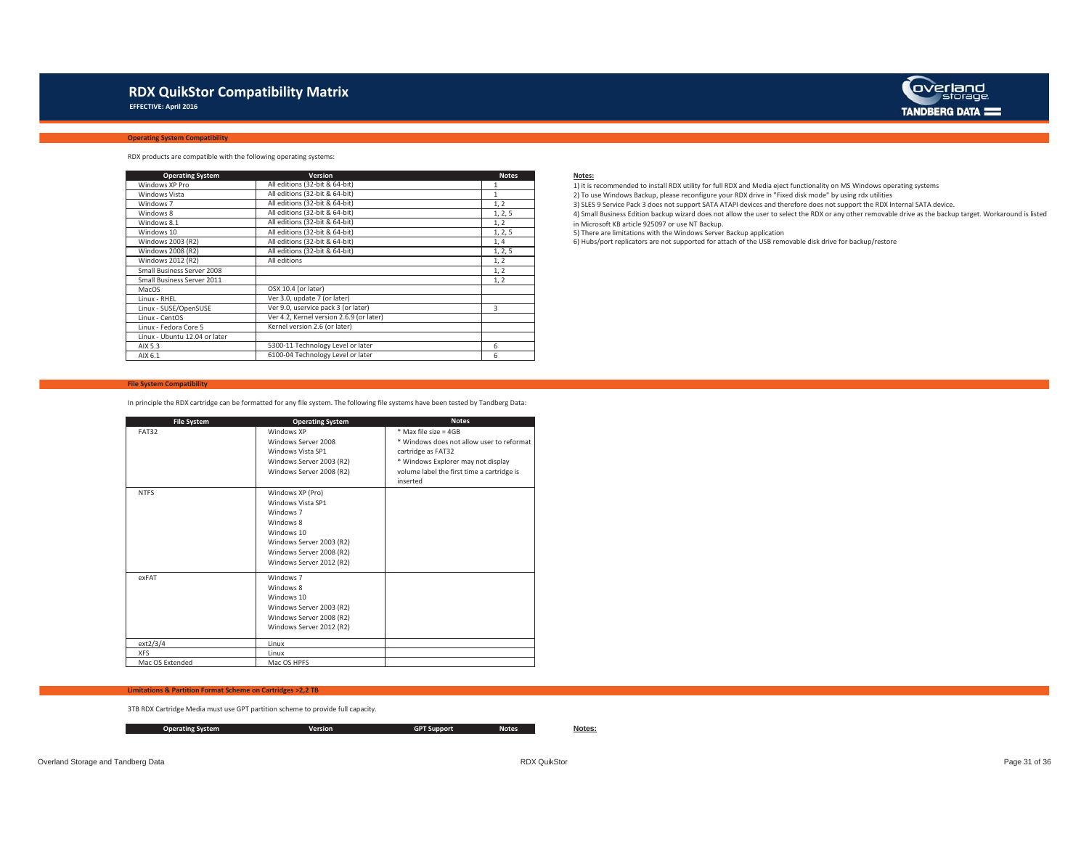## **RDX QuikStor Compatibility Matrix**

 **EFFECTIVE: April 2016**

## **Operating System Compatibility**



RDX products are compatible with the following operating systems:

| <b>Operating System</b>       | Version                                  | <b>Notes</b> | Notes:      |
|-------------------------------|------------------------------------------|--------------|-------------|
| Windows XP Pro                | All editions (32-bit & 64-bit)           |              | $1)$ it is  |
| Windows Vista                 | All editions (32-bit & 64-bit)           |              | $2)$ To $t$ |
| Windows 7                     | All editions (32-bit & 64-bit)           | 1, 2         | 3) SLES     |
| Windows 8                     | All editions (32-bit & 64-bit)           | 1, 2, 5      | 4) Sma      |
| Windows 8.1                   | All editions (32-bit & 64-bit)           | 1, 2         | in Mic      |
| Windows 10                    | All editions (32-bit & 64-bit)           | 1, 2, 5      | 5) The      |
| Windows 2003 (R2)             | All editions (32-bit & 64-bit)           | 1,4          | 6) Hub      |
| Windows 2008 (R2)             | All editions (32-bit & 64-bit)           | 1, 2, 5      |             |
| Windows 2012 (R2)             | All editions                             | 1, 2         |             |
| Small Business Server 2008    |                                          | 1, 2         |             |
| Small Business Server 2011    |                                          | 1, 2         |             |
| MacOS                         | OSX 10.4 (or later)                      |              |             |
| Linux - RHEL                  | Ver 3.0, update 7 (or later)             |              |             |
| Linux - SUSE/OpenSUSE         | Ver 9.0, uservice pack 3 (or later)      | 3            |             |
| Linux - CentOS                | Ver 4.2, Kernel version 2.6.9 (or later) |              |             |
| Linux - Fedora Core 5         | Kernel version 2.6 (or later)            |              |             |
| Linux - Ubuntu 12.04 or later |                                          |              |             |
| AIX 5.3                       | 5300-11 Technology Level or later        | 6            |             |
| AIX 6.1                       | 6100-04 Technology Level or later        | 6            |             |

 1 1) it is recommended to install RDX utility for full RDX and Media eject functionality on MS Windows operating systems 2) To use Windows Backup, please reconfigure your RDX drive in "Fixed disk mode" by using rdx utilities 3) SLES 9 Service Pack 3 does not support SATA ATAPI devices and therefore does not support the RDX Internal SATA device.

4) Small Business Edition backup wizard does not allow the user to select the RDX or any other removable drive as the backup target. Workaround is listed in Microsoft KB article 925097 or use NT Backup.

5) There are limitations with the Windows Server Backup application

6) Hubs/port replicators are not supported for attach of the USB removable disk drive for backup/restore

#### **File System Compatibility**

In principle the RDX cartridge can be formatted for any file system. The following file systems have been tested by Tandberg Data:

| <b>File System</b> | <b>Operating System</b>  | <b>Notes</b>                               |
|--------------------|--------------------------|--------------------------------------------|
| <b>FAT32</b>       | Windows XP               | $*$ Max file size = 4GB                    |
|                    | Windows Server 2008      | * Windows does not allow user to reformat  |
|                    | Windows Vista SP1        | cartridge as FAT32                         |
|                    | Windows Server 2003 (R2) | * Windows Explorer may not display         |
|                    | Windows Server 2008 (R2) | volume label the first time a cartridge is |
|                    |                          | inserted                                   |
| <b>NTFS</b>        | Windows XP (Pro)         |                                            |
|                    | Windows Vista SP1        |                                            |
|                    | Windows 7                |                                            |
|                    | Windows 8                |                                            |
|                    | Windows 10               |                                            |
|                    | Windows Server 2003 (R2) |                                            |
|                    | Windows Server 2008 (R2) |                                            |
|                    | Windows Server 2012 (R2) |                                            |
| exFAT              | Windows 7                |                                            |
|                    | Windows 8                |                                            |
|                    | Windows 10               |                                            |
|                    | Windows Server 2003 (R2) |                                            |
|                    | Windows Server 2008 (R2) |                                            |
|                    | Windows Server 2012 (R2) |                                            |
| ext2/3/4           | Linux                    |                                            |
| <b>XFS</b>         | Linux                    |                                            |
| Mac OS Extended    | Mac OS HPFS              |                                            |

#### **Limitations & Partition Format Scheme on Cartridges >2,2 TB**

3TB RDX Cartridge Media must use GPT partition scheme to provide full capacity.

**Operating System Version GPT Support Notes Notes:**

Overland Storage and Tandberg Data **Page 31 of 36** Page 31 of 36 Could be a structure and Tandberg Data RDX QuikStor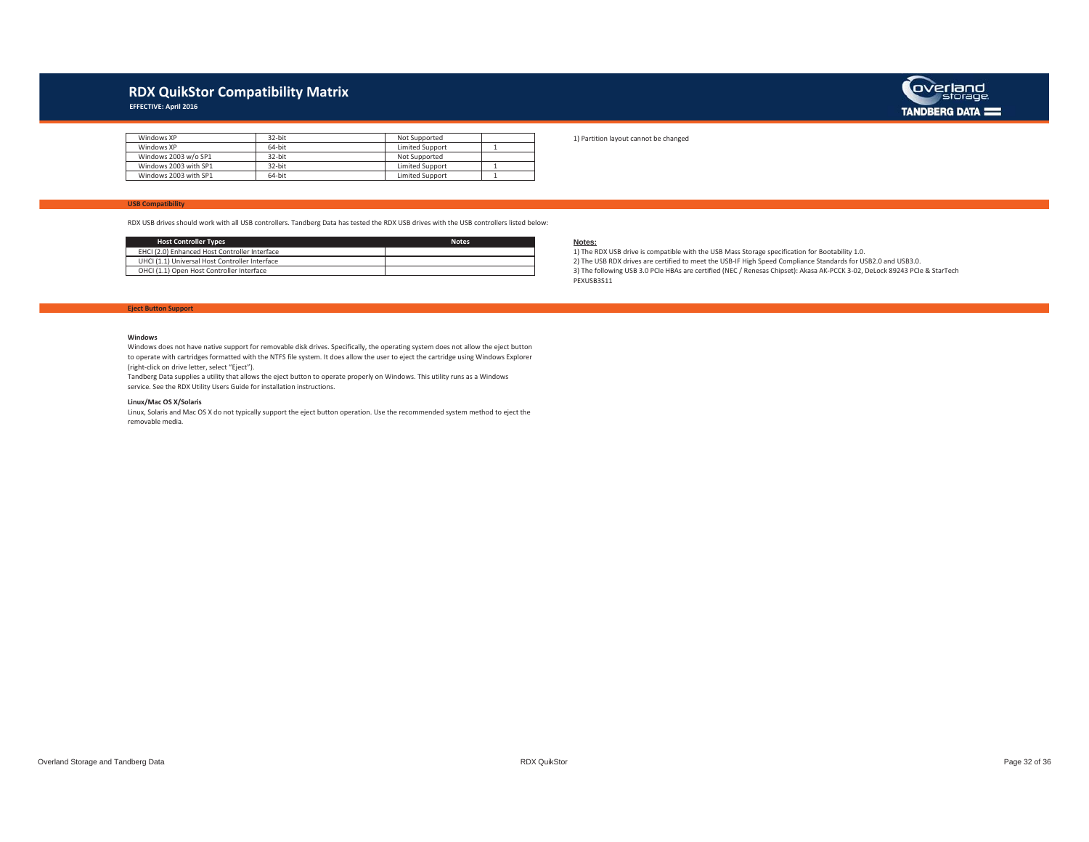## **RDX QuikStor Compatibility Matrix**

 **EFFECTIVE: April 2016**



| Windows XP            | $32$ -hit | Not Supported          |  |
|-----------------------|-----------|------------------------|--|
| Windows XP            | 64-bit    | <b>Limited Support</b> |  |
| Windows 2003 w/o SP1  | 32-hit    | Not Supported          |  |
| Windows 2003 with SP1 | $32$ -hit | <b>Limited Support</b> |  |
| Windows 2003 with SP1 | 64-bit    | <b>Limited Support</b> |  |

1) Partition layout cannot be changed

### **USB Compatibility**

RDX USB drives should work with all USB controllers. Tandberg Data has tested the RDX USB drives with the USB controllers listed below:

| <b>Host Controller Types</b>                   | <b>Notes</b> | Notes:   |
|------------------------------------------------|--------------|----------|
| EHCI (2.0) Enhanced Host Controller Interface  |              | 1) The I |
| UHCI (1.1) Universal Host Controller Interface |              | 2) The I |
| OHCI (1.1) Open Host Controller Interface      |              | 3) The f |

2) The USB RDX drives are certified to meet the USB-IF High Speed Compliance Standards for USB2.0 and USB3.0. 1) The RDX USB drive is compatible with the USB Mass Storage specification for Bootability 1.0. 3) The following USB 3.0 PCIe HBAs are certified (NEC / Renesas Chipset): Akasa AK-PCCK 3-02, DeLock 89243 PCIe & StarTech PEXUSB3S11

#### **Eject Button Support**

#### **Windows**

 Windows does not have native support for removable disk drives. Specifically, the operating system does not allow the eject button to operate with cartridges formatted with the NTFS file system. It does allow the user to eject the cartridge using Windows Explorer (right-click on drive letter, select "Eject").

Tandberg Data supplies a utility that allows the eject button to operate properly on Windows. This utility runs as a Windows service. See the RDX Utility Users Guide for installation instructions.

#### **Linux/Mac OS X/Solaris**

Linux, Solaris and Mac OS X do not typically support the eject button operation. Use the recommended system method to eject the removable media.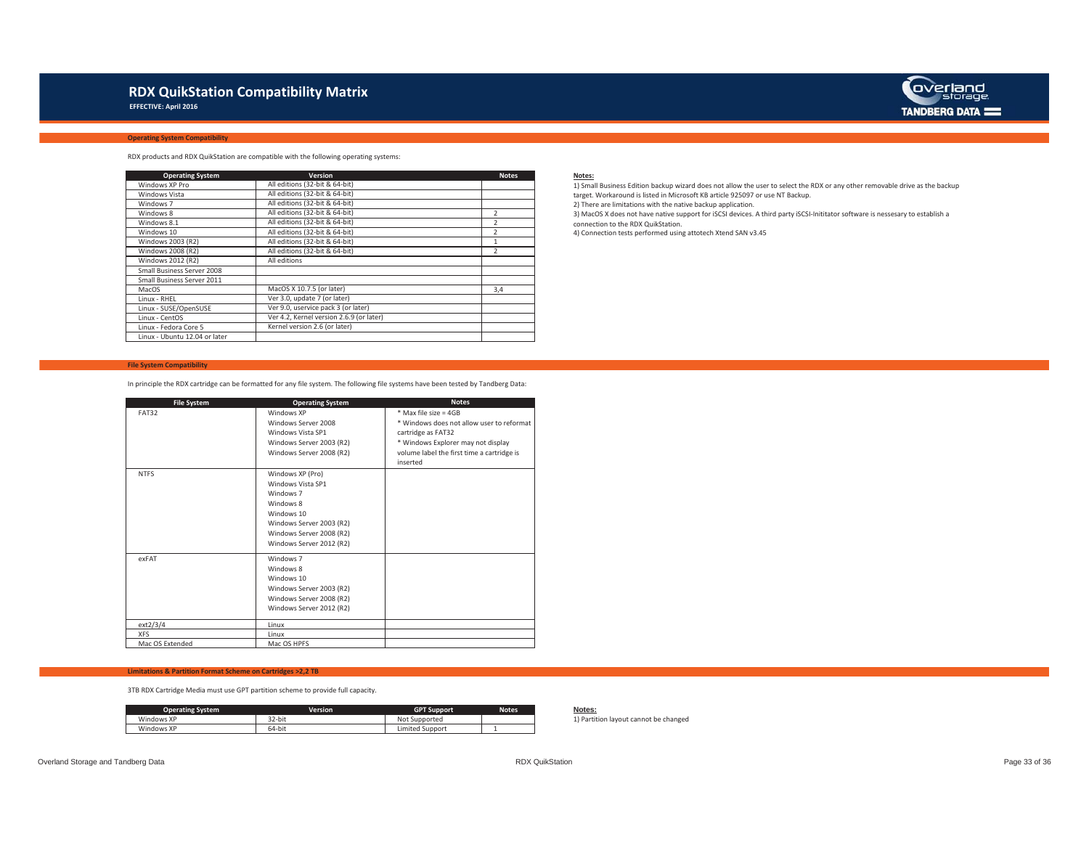## **RDX QuikStation Compatibility Matrix**

 **EFFECTIVE: April 2016**



#### **Operating System Compatibility**

RDX products and RDX QuikStation are compatible with the following operating systems:

| <b>Operating System</b>       | Version                                  | <b>Notes</b>   |  |
|-------------------------------|------------------------------------------|----------------|--|
| Windows XP Pro                | All editions (32-bit & 64-bit)           |                |  |
| Windows Vista                 | All editions (32-bit & 64-bit)           |                |  |
| Windows 7                     | All editions (32-bit & 64-bit)           |                |  |
| Windows 8                     | All editions (32-bit & 64-bit)           |                |  |
| Windows 8.1                   | All editions (32-bit & 64-bit)           |                |  |
| Windows 10                    | All editions (32-bit & 64-bit)           |                |  |
| Windows 2003 (R2)             | All editions (32-bit & 64-bit)           |                |  |
| Windows 2008 (R2)             | All editions (32-bit & 64-bit)           | $\overline{2}$ |  |
| Windows 2012 (R2)             | All editions                             |                |  |
| Small Business Server 2008    |                                          |                |  |
| Small Business Server 2011    |                                          |                |  |
| MacOS                         | MacOS X 10.7.5 (or later)                | 3,4            |  |
| Linux - RHEL                  | Ver 3.0, update 7 (or later)             |                |  |
| Linux - SUSE/OpenSUSE         | Ver 9.0, uservice pack 3 (or later)      |                |  |
| Linux - CentOS                | Ver 4.2. Kernel version 2.6.9 (or later) |                |  |
| Linux - Fedora Core 5         | Kernel version 2.6 (or later)            |                |  |
| Linux - Ubuntu 12.04 or later |                                          |                |  |

#### **File System Compatibility**

In principle the RDX cartridge can be formatted for any file system. The following file systems have been tested by Tandberg Data:

| <b>File System</b> | <b>Operating System</b>  | <b>Notes</b>                               |
|--------------------|--------------------------|--------------------------------------------|
| <b>FAT32</b>       | Windows XP               | $*$ Max file size = 4GB                    |
|                    | Windows Server 2008      | * Windows does not allow user to reformat  |
|                    | Windows Vista SP1        | cartridge as FAT32                         |
|                    | Windows Server 2003 (R2) | * Windows Explorer may not display         |
|                    | Windows Server 2008 (R2) | volume label the first time a cartridge is |
|                    |                          | inserted                                   |
| <b>NTFS</b>        | Windows XP (Pro)         |                                            |
|                    | Windows Vista SP1        |                                            |
|                    | Windows 7                |                                            |
|                    | Windows 8                |                                            |
|                    | Windows 10               |                                            |
|                    | Windows Server 2003 (R2) |                                            |
|                    | Windows Server 2008 (R2) |                                            |
|                    | Windows Server 2012 (R2) |                                            |
| exFAT              | Windows 7                |                                            |
|                    | Windows 8                |                                            |
|                    | Windows 10               |                                            |
|                    | Windows Server 2003 (R2) |                                            |
|                    | Windows Server 2008 (R2) |                                            |
|                    | Windows Server 2012 (R2) |                                            |
| ext2/3/4           | Linux                    |                                            |
| <b>XFS</b>         | Linux                    |                                            |
| Mac OS Extended    | Mac OS HPFS              |                                            |

### **Limitations & Partition Format Scheme on Cartridges >2,2 TB**

3TB RDX Cartridge Media must use GPT partition scheme to provide full capacity.

| <b>Operating System</b> | <b>Version</b> | <b>GPT S</b><br>. support | <b>Notes</b> | Notes:<br>$- - - - -$ |
|-------------------------|----------------|---------------------------|--------------|-----------------------|
| Windows XP              | 32-bit         | Not<br>Supported          |              | Parti                 |
| Windows XP              | 64-bit         | Limited Support           |              |                       |

3) MacOS X does not have native support for iSCSI devices. A third party iSCSI-Inititator software is nessesary to establish a 1) Small Business Edition backup wizard does not allow the user to select the RDX or any other removable drive as the backup target. Workaround is listed in Microsoft KB article 925097 or use NT Backup. 2) There are limitations with the native backup application.

connection to the RDX QuikStation.

4) Connection tests performed using attotech Xtend SAN v3.45

1) Partition layout cannot be changed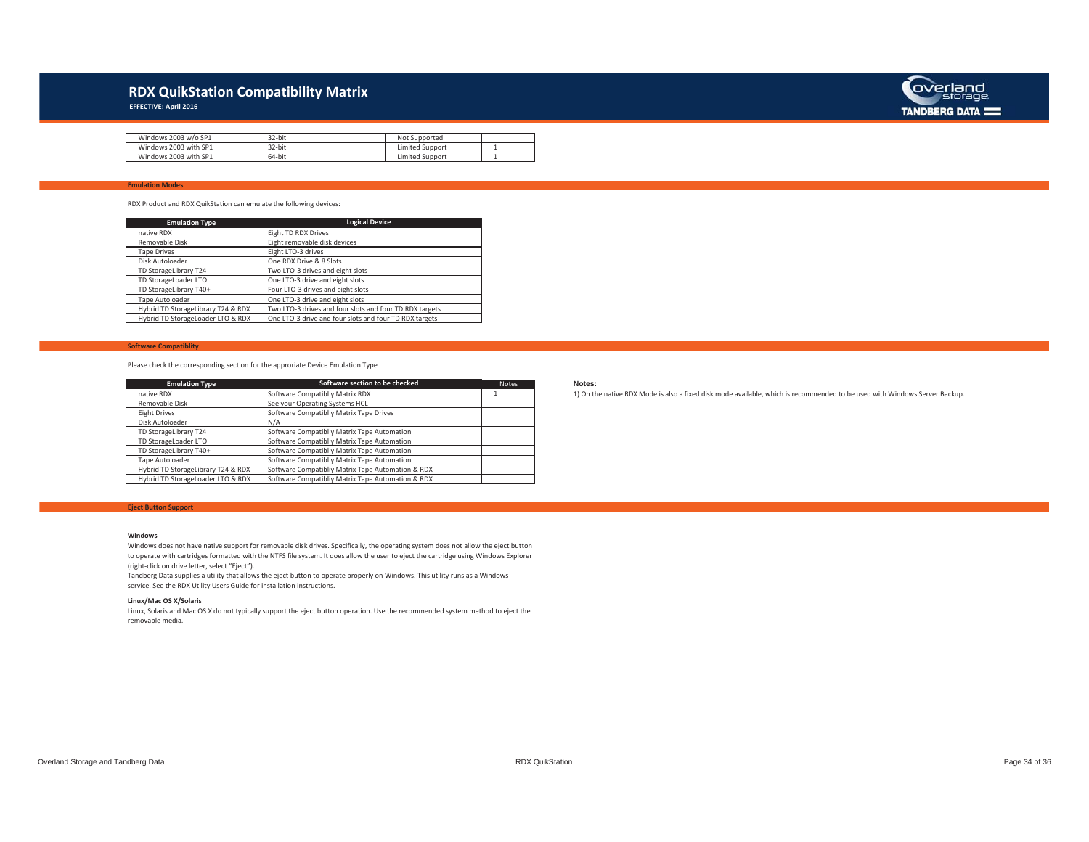## **RDX QuikStation Compatibility Matrix**

 **EFFECTIVE: April 2016**



| Windows 2003 w/o SP1  | 32-bit | Supported<br>Not |  |
|-----------------------|--------|------------------|--|
| Windows 2003 with SP1 | 32-bit | Limited Support  |  |
| Windows 2003 with SP1 | 64-bit | Limited Support  |  |

### **Emulation Modes**

RDX Product and RDX QuikStation can emulate the following devices:

| <b>Emulation Type</b>              | <b>Logical Device</b>                                   |
|------------------------------------|---------------------------------------------------------|
| native RDX                         | Eight TD RDX Drives                                     |
| Removable Disk                     | Eight removable disk devices                            |
| <b>Tape Drives</b>                 | Eight LTO-3 drives                                      |
| Disk Autoloader                    | One RDX Drive & 8 Slots                                 |
| TD StorageLibrary T24              | Two LTO-3 drives and eight slots                        |
| TD StorageLoader LTO               | One LTO-3 drive and eight slots                         |
| TD StorageLibrary T40+             | Four LTO-3 drives and eight slots                       |
| Tape Autoloader                    | One LTO-3 drive and eight slots                         |
| Hybrid TD StorageLibrary T24 & RDX | Two LTO-3 drives and four slots and four TD RDX targets |
| Hybrid TD StorageLoader LTO & RDX  | One LTO-3 drive and four slots and four TD RDX targets  |

#### **Software Compatiblity**

Please check the corresponding section for the approriate Device Emulation Type

| <b>Emulation Type</b>              | Software section to be checked                    | <b>Notes</b> | Notes:   |
|------------------------------------|---------------------------------------------------|--------------|----------|
| native RDX                         | Software Compatibliy Matrix RDX                   |              | 1) On tl |
| Removable Disk                     | See your Operating Systems HCL                    |              |          |
| Eight Drives                       | Software Compatibliy Matrix Tape Drives           |              |          |
| Disk Autoloader                    | N/A                                               |              |          |
| TD StorageLibrary T24              | Software Compatibliy Matrix Tape Automation       |              |          |
| TD StorageLoader LTO               | Software Compatibliy Matrix Tape Automation       |              |          |
| TD StorageLibrary T40+             | Software Compatibliv Matrix Tape Automation       |              |          |
| Tape Autoloader                    | Software Compatibliv Matrix Tape Automation       |              |          |
| Hybrid TD StorageLibrary T24 & RDX | Software Compatibliy Matrix Tape Automation & RDX |              |          |
| Hybrid TD StorageLoader LTO & RDX  | Software Compatibliv Matrix Tape Automation & RDX |              |          |

#### **Eject Button Support**

#### **Windows**

 Windows does not have native support for removable disk drives. Specifically, the operating system does not allow the eject button to operate with cartridges formatted with the NTFS file system. It does allow the user to eject the cartridge using Windows Explorer (right-click on drive letter, select "Eject").

Tandberg Data supplies a utility that allows the eject button to operate properly on Windows. This utility runs as a Windows service. See the RDX Utility Users Guide for installation instructions.

#### **Linux/Mac OS X/Solaris**

Linux, Solaris and Mac OS X do not typically support the eject button operation. Use the recommended system method to eject the removable media.

1 1) On the native RDX Mode is also a fixed disk mode available, which is recommended to be used with Windows Server Backup.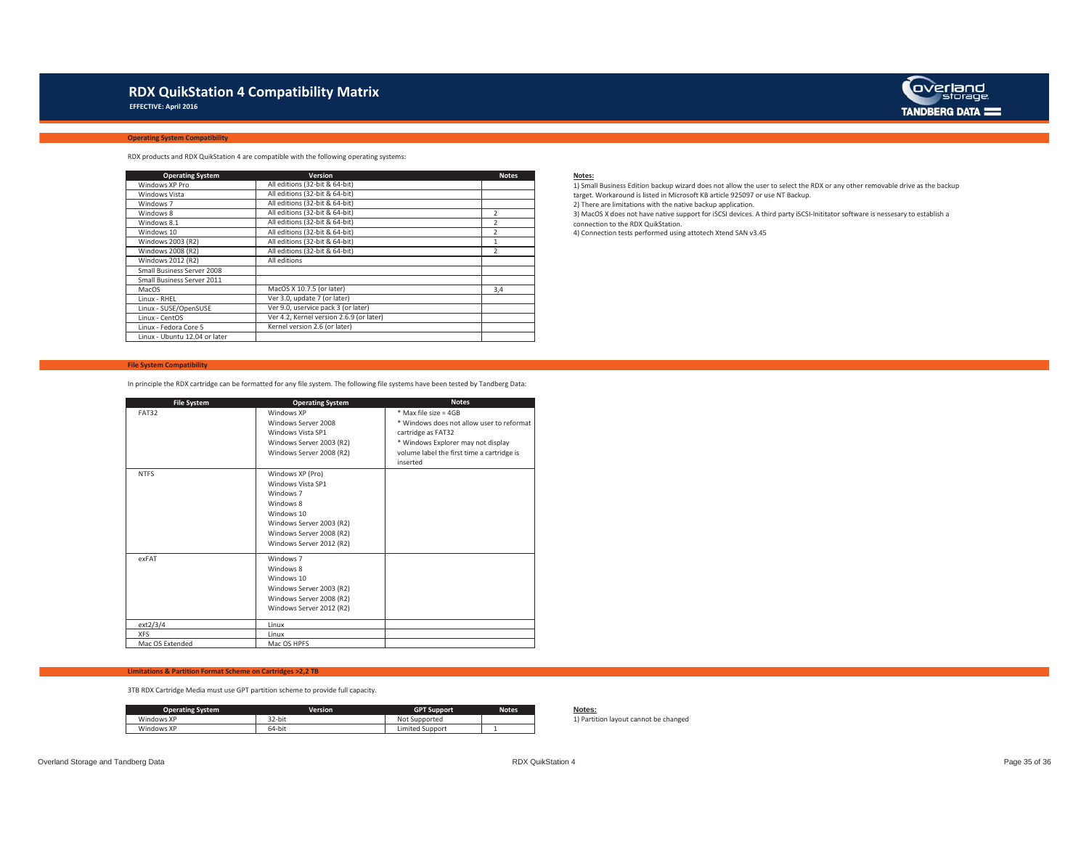## **RDX QuikStation 4 Compatibility Matrix**

 **EFFECTIVE: April 2016**



#### **Operating System Compatibility**

RDX products and RDX QuikStation 4 are compatible with the following operating systems:

| <b>Operating System</b>       | <b>Version</b>                           | <b>Notes</b>   |  |
|-------------------------------|------------------------------------------|----------------|--|
| Windows XP Pro                | All editions (32-bit & 64-bit)           |                |  |
| Windows Vista                 | All editions (32-bit & 64-bit)           |                |  |
| Windows 7                     | All editions (32-bit & 64-bit)           |                |  |
| Windows 8                     | All editions (32-bit & 64-bit)           |                |  |
| Windows 8.1                   | All editions (32-bit & 64-bit)           |                |  |
| Windows 10                    | All editions (32-bit & 64-bit)           |                |  |
| Windows 2003 (R2)             | All editions (32-bit & 64-bit)           |                |  |
| Windows 2008 (R2)             | All editions (32-bit & 64-bit)           | $\overline{2}$ |  |
| Windows 2012 (R2)             | All editions                             |                |  |
| Small Business Server 2008    |                                          |                |  |
| Small Business Server 2011    |                                          |                |  |
| MacOS                         | MacOS X 10.7.5 (or later)                | 3,4            |  |
| Linux - RHEL                  | Ver 3.0, update 7 (or later)             |                |  |
| Linux - SUSE/OpenSUSE         | Ver 9.0, uservice pack 3 (or later)      |                |  |
| Linux - CentOS                | Ver 4.2. Kernel version 2.6.9 (or later) |                |  |
| Linux - Fedora Core 5         | Kernel version 2.6 (or later)            |                |  |
| Linux - Ubuntu 12.04 or later |                                          |                |  |

#### **File System Compatibility**

In principle the RDX cartridge can be formatted for any file system. The following file systems have been tested by Tandberg Data:

| <b>File System</b> | <b>Operating System</b>  | <b>Notes</b>                               |
|--------------------|--------------------------|--------------------------------------------|
| <b>FAT32</b>       | Windows XP               | $*$ Max file size = 4GB                    |
|                    | Windows Server 2008      | * Windows does not allow user to reformat  |
|                    | Windows Vista SP1        | cartridge as FAT32                         |
|                    | Windows Server 2003 (R2) | * Windows Explorer may not display         |
|                    | Windows Server 2008 (R2) | volume label the first time a cartridge is |
|                    |                          | inserted                                   |
| <b>NTFS</b>        | Windows XP (Pro)         |                                            |
|                    | Windows Vista SP1        |                                            |
|                    | Windows 7                |                                            |
|                    | Windows 8                |                                            |
|                    | Windows 10               |                                            |
|                    | Windows Server 2003 (R2) |                                            |
|                    | Windows Server 2008 (R2) |                                            |
|                    | Windows Server 2012 (R2) |                                            |
| exFAT              | Windows 7                |                                            |
|                    | Windows 8                |                                            |
|                    | Windows 10               |                                            |
|                    | Windows Server 2003 (R2) |                                            |
|                    | Windows Server 2008 (R2) |                                            |
|                    | Windows Server 2012 (R2) |                                            |
| ext2/3/4           | Linux                    |                                            |
| <b>XFS</b>         | Linux                    |                                            |
| Mac OS Extended    | Mac OS HPFS              |                                            |

### **Limitations & Partition Format Scheme on Cartridges >2,2 TB**

3TB RDX Cartridge Media must use GPT partition scheme to provide full capacity.

| <b>Operating System</b> | Version | <b>GPT Support</b> | <b>Notes</b> | otes:<br>$- - - - -$ |
|-------------------------|---------|--------------------|--------------|----------------------|
| Windows XP              | 32-bit  | Not<br>: Supported |              | Parti                |
| Windows XP              | 64-bit  | Limited Support    |              |                      |

3) MacOS X does not have native support for iSCSI devices. A third party iSCSI-Inititator software is nessesary to establish a 1) Small Business Edition backup wizard does not allow the user to select the RDX or any other removable drive as the backup target. Workaround is listed in Microsoft KB article 925097 or use NT Backup. 2) There are limitations with the native backup application.

connection to the RDX QuikStation.

4) Connection tests performed using attotech Xtend SAN v3.45

 $\mathbf{I}$ 

1) Partition layout cannot be changed